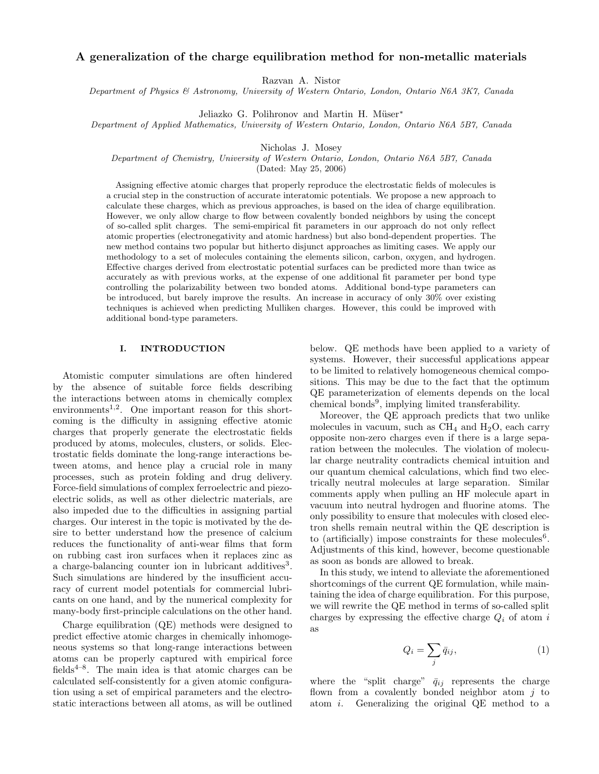# A generalization of the charge equilibration method for non-metallic materials

Razvan A. Nistor

Department of Physics & Astronomy, University of Western Ontario, London, Ontario N6A 3K7, Canada

Jeliazko G. Polihronov and Martin H. Müser\*

Department of Applied Mathematics, University of Western Ontario, London, Ontario N6A 5B7, Canada

Nicholas J. Mosey

Department of Chemistry, University of Western Ontario, London, Ontario N6A 5B7, Canada

(Dated: May 25, 2006)

Assigning effective atomic charges that properly reproduce the electrostatic fields of molecules is a crucial step in the construction of accurate interatomic potentials. We propose a new approach to calculate these charges, which as previous approaches, is based on the idea of charge equilibration. However, we only allow charge to flow between covalently bonded neighbors by using the concept of so-called split charges. The semi-empirical fit parameters in our approach do not only reflect atomic properties (electronegativity and atomic hardness) but also bond-dependent properties. The new method contains two popular but hitherto disjunct approaches as limiting cases. We apply our methodology to a set of molecules containing the elements silicon, carbon, oxygen, and hydrogen. Effective charges derived from electrostatic potential surfaces can be predicted more than twice as accurately as with previous works, at the expense of one additional fit parameter per bond type controlling the polarizability between two bonded atoms. Additional bond-type parameters can be introduced, but barely improve the results. An increase in accuracy of only 30% over existing techniques is achieved when predicting Mulliken charges. However, this could be improved with additional bond-type parameters.

# I. INTRODUCTION

Atomistic computer simulations are often hindered by the absence of suitable force fields describing the interactions between atoms in chemically complex environments<sup>1,2</sup>. One important reason for this shortcoming is the difficulty in assigning effective atomic charges that properly generate the electrostatic fields produced by atoms, molecules, clusters, or solids. Electrostatic fields dominate the long-range interactions between atoms, and hence play a crucial role in many processes, such as protein folding and drug delivery. Force-field simulations of complex ferroelectric and piezoelectric solids, as well as other dielectric materials, are also impeded due to the difficulties in assigning partial charges. Our interest in the topic is motivated by the desire to better understand how the presence of calcium reduces the functionality of anti-wear films that form on rubbing cast iron surfaces when it replaces zinc as a charge-balancing counter ion in lubricant additives<sup>3</sup>. Such simulations are hindered by the insufficient accuracy of current model potentials for commercial lubricants on one hand, and by the numerical complexity for many-body first-principle calculations on the other hand.

Charge equilibration (QE) methods were designed to predict effective atomic charges in chemically inhomogeneous systems so that long-range interactions between atoms can be properly captured with empirical force fields<sup>4–8</sup>. The main idea is that atomic charges can be calculated self-consistently for a given atomic configuration using a set of empirical parameters and the electrostatic interactions between all atoms, as will be outlined

below. QE methods have been applied to a variety of systems. However, their successful applications appear to be limited to relatively homogeneous chemical compositions. This may be due to the fact that the optimum QE parameterization of elements depends on the local chemical bonds<sup>9</sup>, implying limited transferability.

Moreover, the QE approach predicts that two unlike molecules in vacuum, such as  $CH<sub>4</sub>$  and  $H<sub>2</sub>O$ , each carry opposite non-zero charges even if there is a large separation between the molecules. The violation of molecular charge neutrality contradicts chemical intuition and our quantum chemical calculations, which find two electrically neutral molecules at large separation. Similar comments apply when pulling an HF molecule apart in vacuum into neutral hydrogen and fluorine atoms. The only possibility to ensure that molecules with closed electron shells remain neutral within the QE description is to (artificially) impose constraints for these molecules<sup>6</sup>. Adjustments of this kind, however, become questionable as soon as bonds are allowed to break.

In this study, we intend to alleviate the aforementioned shortcomings of the current QE formulation, while maintaining the idea of charge equilibration. For this purpose, we will rewrite the QE method in terms of so-called split charges by expressing the effective charge  $Q_i$  of atom i as

$$
Q_i = \sum_j \bar{q}_{ij},\tag{1}
$$

where the "split charge"  $\bar{q}_{ij}$  represents the charge flown from a covalently bonded neighbor atom  $j$  to atom i. Generalizing the original QE method to a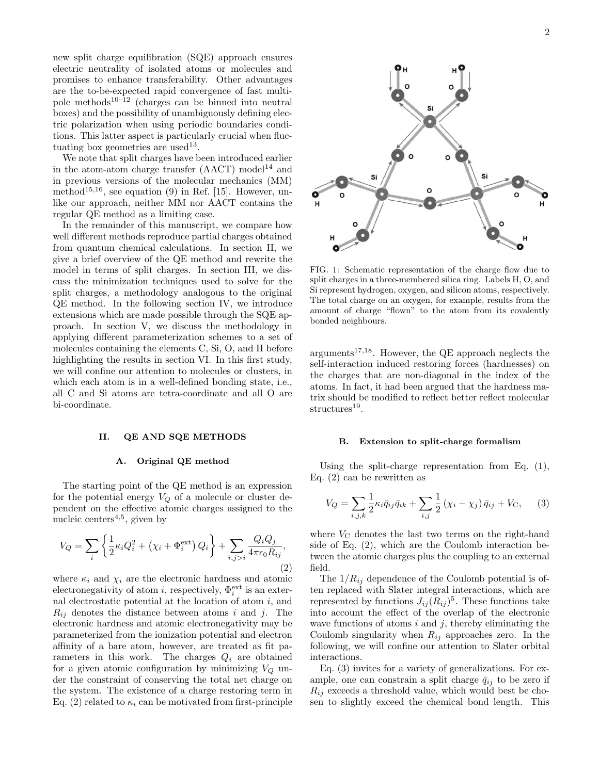new split charge equilibration (SQE) approach ensures electric neutrality of isolated atoms or molecules and promises to enhance transferability. Other advantages are the to-be-expected rapid convergence of fast multipole methods $10^{-12}$  (charges can be binned into neutral boxes) and the possibility of unambiguously defining electric polarization when using periodic boundaries conditions. This latter aspect is particularly crucial when fluctuating box geometries are used<sup>13</sup>.

We note that split charges have been introduced earlier in the atom-atom charge transfer  $(AACT) \text{ model}^{14}$  and in previous versions of the molecular mechanics (MM) method 15,16 , see equation (9) in Ref. [15]. However, unlike our approach, neither MM nor AACT contains the regular QE method as a limiting case.

In the remainder of this manuscript, we compare how well different methods reproduce partial charges obtained from quantum chemical calculations. In section II, we give a brief overview of the QE method and rewrite the model in terms of split charges. In section III, we discuss the minimization techniques used to solve for the split charges, a methodology analogous to the original QE method. In the following section IV, we introduce extensions which are made possible through the SQE approach. In section V, we discuss the methodology in applying different parameterization schemes to a set of molecules containing the elements C, Si, O, and H before highlighting the results in section VI. In this first study, we will confine our attention to molecules or clusters, in which each atom is in a well-defined bonding state, i.e., all C and Si atoms are tetra-coordinate and all O are bi-coordinate.

## II. QE AND SQE METHODS

#### A. Original QE method

The starting point of the QE method is an expression for the potential energy  $V_Q$  of a molecule or cluster dependent on the effective atomic charges assigned to the nucleic centers<sup>4,5</sup>, given by

$$
V_Q = \sum_{i} \left\{ \frac{1}{2} \kappa_i Q_i^2 + \left( \chi_i + \Phi_i^{\text{ext}} \right) Q_i \right\} + \sum_{i,j>i} \frac{Q_i Q_j}{4 \pi \epsilon_0 R_{ij}},\tag{2}
$$

where  $\kappa_i$  and  $\chi_i$  are the electronic hardness and atomic electronegativity of atom *i*, respectively,  $\Phi_i^{\text{ext}}$  is an external electrostatic potential at the location of atom  $i$ , and  $R_{ij}$  denotes the distance between atoms i and j. The electronic hardness and atomic electronegativity may be parameterized from the ionization potential and electron affinity of a bare atom, however, are treated as fit parameters in this work. The charges  $Q_i$  are obtained for a given atomic configuration by minimizing  $V_Q$  under the constraint of conserving the total net charge on the system. The existence of a charge restoring term in Eq. (2) related to  $\kappa_i$  can be motivated from first-principle



FIG. 1: Schematic representation of the charge flow due to split charges in a three-membered silica ring. Labels H, O, and Si represent hydrogen, oxygen, and silicon atoms, respectively. The total charge on an oxygen, for example, results from the amount of charge "flown" to the atom from its covalently bonded neighbours.

 $arguments<sup>17,18</sup>$ . However, the QE approach neglects the self-interaction induced restoring forces (hardnesses) on the charges that are non-diagonal in the index of the atoms. In fact, it had been argued that the hardness matrix should be modified to reflect better reflect molecular structures<sup>19</sup>.

#### B. Extension to split-charge formalism

Using the split-charge representation from Eq. (1), Eq. (2) can be rewritten as

$$
V_Q = \sum_{i,j,k} \frac{1}{2} \kappa_i \bar{q}_{ij} \bar{q}_{ik} + \sum_{i,j} \frac{1}{2} (\chi_i - \chi_j) \bar{q}_{ij} + V_C, \quad (3)
$$

where  $V_{\rm C}$  denotes the last two terms on the right-hand side of Eq. (2), which are the Coulomb interaction between the atomic charges plus the coupling to an external field.

The  $1/R_{ij}$  dependence of the Coulomb potential is often replaced with Slater integral interactions, which are represented by functions  $J_{ij}(R_{ij})^5$ . These functions take into account the effect of the overlap of the electronic wave functions of atoms  $i$  and  $j$ , thereby eliminating the Coulomb singularity when  $R_{ij}$  approaches zero. In the following, we will confine our attention to Slater orbital interactions.

Eq. (3) invites for a variety of generalizations. For example, one can constrain a split charge  $\bar{q}_{ij}$  to be zero if  $R_{ij}$  exceeds a threshold value, which would best be chosen to slightly exceed the chemical bond length. This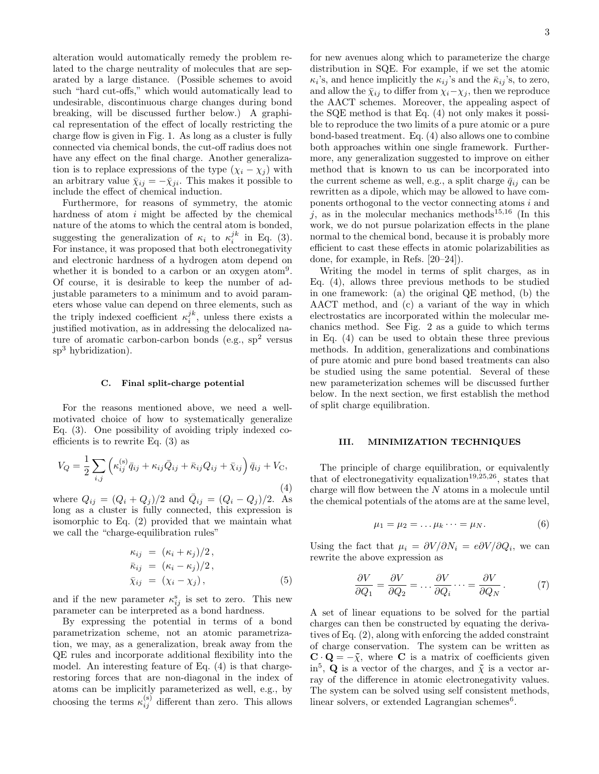alteration would automatically remedy the problem related to the charge neutrality of molecules that are separated by a large distance. (Possible schemes to avoid such "hard cut-offs," which would automatically lead to undesirable, discontinuous charge changes during bond breaking, will be discussed further below.) A graphical representation of the effect of locally restricting the charge flow is given in Fig. 1. As long as a cluster is fully connected via chemical bonds, the cut-off radius does not have any effect on the final charge. Another generalization is to replace expressions of the type  $(\chi_i - \chi_j)$  with an arbitrary value  $\bar{\chi}_{ij} = -\bar{\chi}_{ji}$ . This makes it possible to include the effect of chemical induction.

Furthermore, for reasons of symmetry, the atomic hardness of atom  $i$  might be affected by the chemical nature of the atoms to which the central atom is bonded, suggesting the generalization of  $\kappa_i$  to  $\kappa_i^{jk}$  in Eq. (3). For instance, it was proposed that both electronegativity and electronic hardness of a hydrogen atom depend on whether it is bonded to a carbon or an oxygen atom<sup>9</sup>. Of course, it is desirable to keep the number of adjustable parameters to a minimum and to avoid parameters whose value can depend on three elements, such as the triply indexed coefficient  $\kappa_i^{jk}$ , unless there exists a justified motivation, as in addressing the delocalized nature of aromatic carbon-carbon bonds (e.g.,  $sp<sup>2</sup>$  versus sp<sup>3</sup> hybridization).

#### C. Final split-charge potential

For the reasons mentioned above, we need a wellmotivated choice of how to systematically generalize Eq. (3). One possibility of avoiding triply indexed coefficients is to rewrite Eq. (3) as

$$
V_Q = \frac{1}{2} \sum_{i,j} \left( \kappa_{ij}^{(s)} \bar{q}_{ij} + \kappa_{ij} \bar{Q}_{ij} + \bar{\kappa}_{ij} Q_{ij} + \bar{\chi}_{ij} \right) \bar{q}_{ij} + V_C,
$$

(4) where  $Q_{ij} = (Q_i + Q_j)/2$  and  $\bar{Q}_{ij} = (Q_i - Q_j)/2$ . As long as a cluster is fully connected, this expression is isomorphic to Eq. (2) provided that we maintain what we call the "charge-equilibration rules"

$$
\begin{aligned}\n\kappa_{ij} &= (\kappa_i + \kappa_j)/2, \\
\bar{\kappa}_{ij} &= (\kappa_i - \kappa_j)/2, \\
\bar{\chi}_{ij} &= (\chi_i - \chi_j),\n\end{aligned} \tag{5}
$$

and if the new parameter  $\kappa_{ij}^s$  is set to zero. This new parameter can be interpreted as a bond hardness.

By expressing the potential in terms of a bond parametrization scheme, not an atomic parametrization, we may, as a generalization, break away from the QE rules and incorporate additional flexibility into the model. An interesting feature of Eq. (4) is that chargerestoring forces that are non-diagonal in the index of atoms can be implicitly parameterized as well, e.g., by choosing the terms  $\kappa_{ij}^{(s)}$  different than zero. This allows

for new avenues along which to parameterize the charge distribution in SQE. For example, if we set the atomic  $\kappa_i$ 's, and hence implicitly the  $\kappa_{ij}$ 's and the  $\bar{\kappa}_{ij}$ 's, to zero, and allow the  $\bar{\chi}_{ij}$  to differ from  $\chi_i-\chi_j$ , then we reproduce the AACT schemes. Moreover, the appealing aspect of the SQE method is that Eq. (4) not only makes it possible to reproduce the two limits of a pure atomic or a pure bond-based treatment. Eq. (4) also allows one to combine both approaches within one single framework. Furthermore, any generalization suggested to improve on either method that is known to us can be incorporated into the current scheme as well, e.g., a split charge  $\bar{q}_{ij}$  can be rewritten as a dipole, which may be allowed to have components orthogonal to the vector connecting atoms  $i$  and j, as in the molecular mechanics methods<sup>15,16</sup> (In this work, we do not pursue polarization effects in the plane normal to the chemical bond, because it is probably more efficient to cast these effects in atomic polarizabilities as done, for example, in Refs. [20–24]).

Writing the model in terms of split charges, as in Eq. (4), allows three previous methods to be studied in one framework: (a) the original QE method, (b) the AACT method, and (c) a variant of the way in which electrostatics are incorporated within the molecular mechanics method. See Fig. 2 as a guide to which terms in Eq. (4) can be used to obtain these three previous methods. In addition, generalizations and combinations of pure atomic and pure bond based treatments can also be studied using the same potential. Several of these new parameterization schemes will be discussed further below. In the next section, we first establish the method of split charge equilibration.

#### III. MINIMIZATION TECHNIQUES

The principle of charge equilibration, or equivalently that of electronegativity equalization<sup>19,25,26</sup>, states that charge will flow between the  $N$  atoms in a molecule until the chemical potentials of the atoms are at the same level,

$$
\mu_1 = \mu_2 = \dots \mu_k \dots = \mu_N. \tag{6}
$$

Using the fact that  $\mu_i = \partial V / \partial N_i = e \partial V / \partial Q_i$ , we can rewrite the above expression as

$$
\frac{\partial V}{\partial Q_1} = \frac{\partial V}{\partial Q_2} = \dots \frac{\partial V}{\partial Q_i} \dots = \frac{\partial V}{\partial Q_N}.
$$
 (7)

A set of linear equations to be solved for the partial charges can then be constructed by equating the derivatives of Eq. (2), along with enforcing the added constraint of charge conservation. The system can be written as  $\mathbf{C} \cdot \mathbf{Q} = -\tilde{\chi}$ , where **C** is a matrix of coefficients given in<sup>5</sup>, **Q** is a vector of the charges, and  $\tilde{\chi}$  is a vector array of the difference in atomic electronegativity values. The system can be solved using self consistent methods, linear solvers, or extended Lagrangian schemes<sup>6</sup>.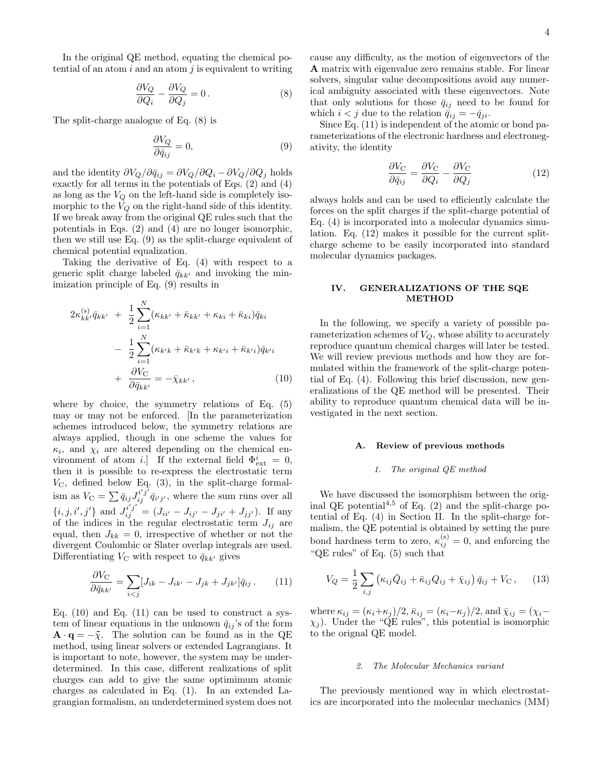In the original QE method, equating the chemical potential of an atom  $i$  and an atom  $j$  is equivalent to writing

$$
\frac{\partial V_Q}{\partial Q_i} - \frac{\partial V_Q}{\partial Q_j} = 0.
$$
 (8)

The split-charge analogue of Eq. (8) is

$$
\frac{\partial V_Q}{\partial \bar{q}_{ij}} = 0,\t\t(9)
$$

and the identity  $\partial V_Q/\partial \bar{q}_{ij} = \partial V_Q/\partial Q_i - \partial V_Q/\partial Q_j$  holds exactly for all terms in the potentials of Eqs. (2) and (4) as long as the  $V_Q$  on the left-hand side is completely isomorphic to the  $V_Q$  on the right-hand side of this identity. If we break away from the original QE rules such that the potentials in Eqs. (2) and (4) are no longer isomorphic, then we still use Eq. (9) as the split-charge equivalent of chemical potential equalization.

Taking the derivative of Eq. (4) with respect to a generic split charge labeled  $\bar{q}_{kk'}$  and invoking the minimization principle of Eq. (9) results in

$$
2\kappa_{kk'}^{(s)}\bar{q}_{kk'} + \frac{1}{2} \sum_{i=1}^{N} (\kappa_{kk'} + \bar{\kappa}_{kk'} + \kappa_{ki} + \bar{\kappa}_{ki}) \bar{q}_{ki} - \frac{1}{2} \sum_{i=1}^{N} (\kappa_{k'k} + \bar{\kappa}_{k'k} + \kappa_{k'i} + \bar{\kappa}_{k'i}) \bar{q}_{k'i} + \frac{\partial V_C}{\partial \bar{q}_{kk'}} = -\bar{\chi}_{kk'},
$$
(10)

where by choice, the symmetry relations of Eq. (5) may or may not be enforced. [In the parameterization schemes introduced below, the symmetry relations are always applied, though in one scheme the values for  $\kappa_i$ , and  $\chi_i$  are altered depending on the chemical environment of atom *i*.] If the external field  $\Phi_{ext}^i = 0$ , then it is possible to re-express the electrostatic term  $V_{\rm C}$ , defined below Eq. (3), in the split-charge formalism as  $V_{\rm C} = \sum \bar{q}_{ij} J_{ij}^{i'j'} \bar{q}_{i'j'}$ , where the sum runs over all  $\{i, j, i', j'\}$  and  $J_{ij}^{i'j'} = (J_{ii'} - J_{ij'} - J_{ji'} + J_{jj'})$ . If any of the indices in the regular electrostatic term  $J_{ij}$  are equal, then  $J_{kk} = 0$ , irrespective of whether or not the divergent Coulombic or Slater overlap integrals are used. Differentiating  $V_{\rm C}$  with respect to  $\bar{q}_{kk'}$  gives

$$
\frac{\partial V_{\mathcal{C}}}{\partial \bar{q}_{kk'}} = \sum_{i < j} [J_{ik} - J_{ik'} - J_{jk} + J_{jk'}] \bar{q}_{ij} \,. \tag{11}
$$

Eq.  $(10)$  and Eq.  $(11)$  can be used to construct a system of linear equations in the unknown  $\bar{q}_{ij}$ 's of the form  $\mathbf{A} \cdot \mathbf{q} = -\tilde{\chi}$ . The solution can be found as in the QE method, using linear solvers or extended Lagrangians. It is important to note, however, the system may be underdetermined. In this case, different realizations of split charges can add to give the same optimimum atomic charges as calculated in Eq. (1). In an extended Lagrangian formalism, an underdetermined system does not

cause any difficulty, as the motion of eigenvectors of the A matrix with eigenvalue zero remains stable. For linear solvers, singular value decompositions avoid any numerical ambiguity associated with these eigenvectors. Note that only solutions for those  $\bar{q}_{ij}$  need to be found for which  $i < j$  due to the relation  $\bar{q}_{ij} = -\bar{q}_{ji}$ .

Since Eq. (11) is independent of the atomic or bond parameterizations of the electronic hardness and electronegativity, the identity

$$
\frac{\partial V_{\rm C}}{\partial \bar{q}_{ij}} = \frac{\partial V_{\rm C}}{\partial Q_i} - \frac{\partial V_{\rm C}}{\partial Q_j} \tag{12}
$$

always holds and can be used to efficiently calculate the forces on the split charges if the split-charge potential of Eq. (4) is incorporated into a molecular dynamics simulation. Eq. (12) makes it possible for the current splitcharge scheme to be easily incorporated into standard molecular dynamics packages.

## IV. GENERALIZATIONS OF THE SQE METHOD

In the following, we specify a variety of possible parameterization schemes of  $V_Q$ , whose ability to accurately reproduce quantum chemical charges will later be tested. We will review previous methods and how they are formulated within the framework of the split-charge potential of Eq. (4). Following this brief discussion, new generalizations of the QE method will be presented. Their ability to reproduce quantum chemical data will be investigated in the next section.

### A. Review of previous methods

### 1. The original QE method

We have discussed the isomorphism between the original QE potential<sup>4,5</sup> of Eq.  $(2)$  and the split-charge potential of Eq. (4) in Section II. In the split-charge formalism, the QE potential is obtained by setting the pure bond hardness term to zero,  $\kappa_{ij}^{(s)} = 0$ , and enforcing the "QE rules" of Eq. (5) such that

$$
V_Q = \frac{1}{2} \sum_{i,j} \left( \kappa_{ij} \bar{Q}_{ij} + \bar{\kappa}_{ij} Q_{ij} + \bar{\chi}_{ij} \right) \bar{q}_{ij} + V_C , \quad (13)
$$

where  $\kappa_{ij} = (\kappa_i + \kappa_j)/2$ ,  $\bar{\kappa}_{ij} = (\kappa_i - \kappa_j)/2$ , and  $\bar{\chi}_{ij} = (\chi_i - \chi_j)/2$  $\chi_j$ ). Under the "QE rules", this potential is isomorphic to the orignal QE model.

### 2. The Molecular Mechanics variant

The previously mentioned way in which electrostatics are incorporated into the molecular mechanics (MM)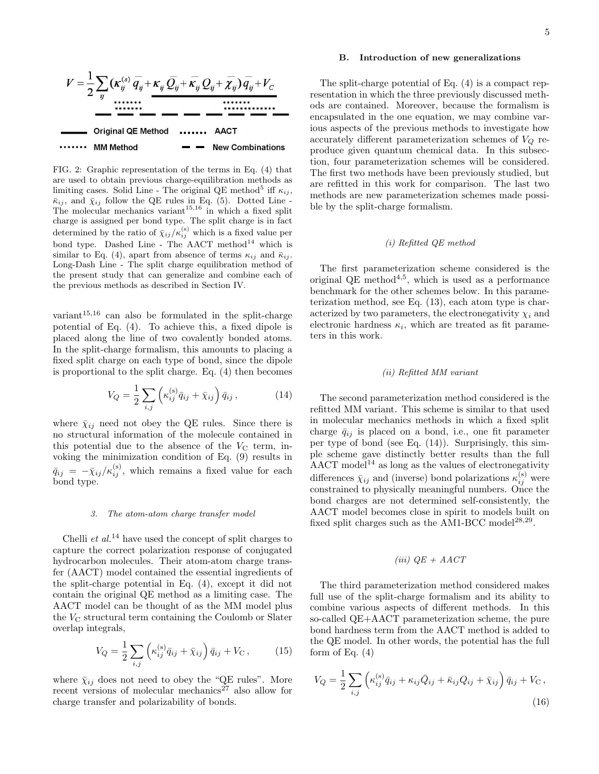FIG. 2: Graphic representation of the terms in Eq. (4) that are used to obtain previous charge-equilibration methods as limiting cases. Solid Line - The original QE method<sup>5</sup> iff  $\kappa_{ij}$ ,  $\bar{\kappa}_{ij}$ , and  $\bar{\chi}_{ij}$  follow the QE rules in Eq. (5). Dotted Line -The molecular mechanics variant<sup>15,16</sup> in which a fixed split charge is assigned per bond type. The split charge is in fact determined by the ratio of  $\bar{\chi}_{ij}/\kappa_{ij}^{(\mathrm{s})}$  which is a fixed value per bond type. Dashed Line - The AACT method<sup>14</sup> which is similar to Eq. (4), apart from absence of terms  $\kappa_{ij}$  and  $\bar{\kappa}_{ij}$ . Long-Dash Line - The split charge equilibration method of the present study that can generalize and combine each of the previous methods as described in Section IV.

variant 15,16 can also be formulated in the split-charge potential of Eq. (4). To achieve this, a fixed dipole is placed along the line of two covalently bonded atoms. In the split-charge formalism, this amounts to placing a fixed split charge on each type of bond, since the dipole is proportional to the split charge. Eq. (4) then becomes

$$
V_Q = \frac{1}{2} \sum_{i,j} \left( \kappa_{ij}^{(\rm s)} \bar{q}_{ij} + \bar{\chi}_{ij} \right) \bar{q}_{ij}, \qquad (14)
$$

where  $\bar{\chi}_{ij}$  need not obey the QE rules. Since there is no structural information of the molecule contained in this potential due to the absence of the  $V<sub>C</sub>$  term, invoking the minimization condition of Eq. (9) results in  $\bar{q}_{ij} = -\bar{\chi}_{ij}/\kappa_{ij}^{(\mathrm{s})}$ , which remains a fixed value for each bond type.

#### 3. The atom-atom charge transfer model

Chelli *et al.*<sup>14</sup> have used the concept of split charges to capture the correct polarization response of conjugated hydrocarbon molecules. Their atom-atom charge transfer (AACT) model contained the essential ingredients of the split-charge potential in Eq. (4), except it did not contain the original QE method as a limiting case. The AACT model can be thought of as the MM model plus the  $V_{\rm C}$  structural term containing the Coulomb or Slater overlap integrals,

$$
V_Q = \frac{1}{2} \sum_{i,j} \left( \kappa_{ij}^{(s)} \bar{q}_{ij} + \bar{\chi}_{ij} \right) \bar{q}_{ij} + V_C , \qquad (15)
$$

where  $\bar{\chi}_{ij}$  does not need to obey the "QE rules". More recent versions of molecular mechanics<sup>27</sup> also allow for charge transfer and polarizability of bonds.

## B. Introduction of new generalizations

The split-charge potential of Eq. (4) is a compact representation in which the three previously discussed methods are contained. Moreover, because the formalism is encapsulated in the one equation, we may combine various aspects of the previous methods to investigate how accurately different parameterization schemes of  $V_Q$  reproduce given quantum chemical data. In this subsection, four parameterization schemes will be considered. The first two methods have been previously studied, but are refitted in this work for comparison. The last two methods are new parameterization schemes made possible by the split-charge formalism.

# (i) Refitted QE method

The first parameterization scheme considered is the original QE method 4,5 , which is used as a performance benchmark for the other schemes below. In this parameterization method, see Eq. (13), each atom type is characterized by two parameters, the electronegativity  $\chi_i$  and electronic hardness  $\kappa_i$ , which are treated as fit parameters in this work.

# (ii) Refitted MM variant

The second parameterization method considered is the refitted MM variant. This scheme is similar to that used in molecular mechanics methods in which a fixed split charge  $\bar{q}_{ij}$  is placed on a bond, i.e., one fit parameter per type of bond (see Eq. (14)). Surprisingly, this simple scheme gave distinctly better results than the full AACT model<sup>14</sup> as long as the values of electronegativity differences  $\bar{\chi}_{ij}$  and (inverse) bond polarizations  $\kappa_{ij}^{(\rm s)}$  were constrained to physically meaningful numbers. Once the bond charges are not determined self-consistently, the AACT model becomes close in spirit to models built on fixed split charges such as the AM1-BCC model<sup>28,29</sup>.

# (iii)  $QE + AACT$

The third parameterization method considered makes full use of the split-charge formalism and its ability to combine various aspects of different methods. In this so-called QE+AACT parameterization scheme, the pure bond hardness term from the AACT method is added to the QE model. In other words, the potential has the full form of Eq.  $(4)$ 

$$
V_Q = \frac{1}{2} \sum_{i,j} \left( \kappa_{ij}^{(s)} \bar{q}_{ij} + \kappa_{ij} \bar{Q}_{ij} + \bar{\kappa}_{ij} Q_{ij} + \bar{\chi}_{ij} \right) \bar{q}_{ij} + V_C,
$$
\n(16)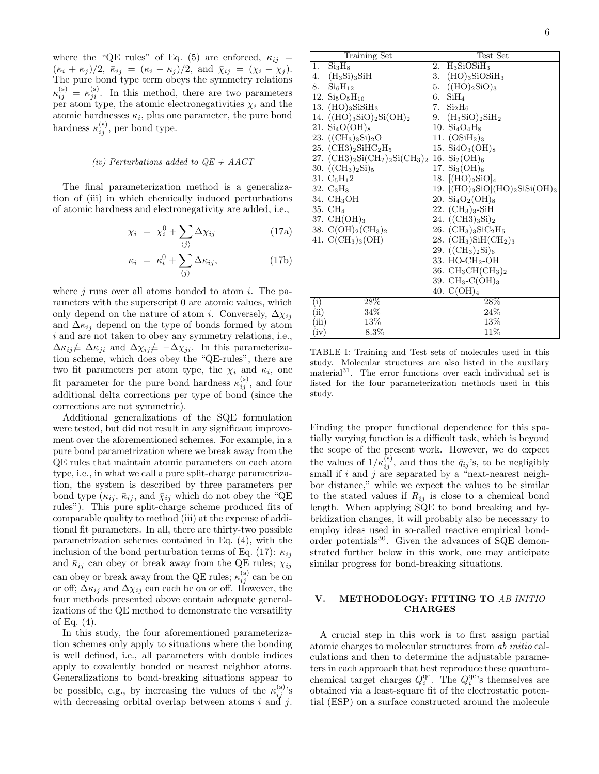where the "QE rules" of Eq. (5) are enforced,  $\kappa_{ij}$  =  $(\kappa_i + \kappa_j)/2$ ,  $\bar{\kappa}_{ij} = (\kappa_i - \kappa_j)/2$ , and  $\bar{\chi}_{ij} = (\chi_i - \chi_j)$ . The pure bond type term obeys the symmetry relations  $\kappa_{ij}^{(\rm s)} = \kappa_{ji}^{(\rm s)}$ . In this method, there are two parameters per atom type, the atomic electronegativities  $\chi_i$  and the atomic hardnesses  $\kappa_i$ , plus one parameter, the pure bond hardness  $\kappa_{ij}^{\rm (s)}$ , per bond type.

#### (iv) Perturbations added to  $QE + AACT$

The final parameterization method is a generalization of (iii) in which chemically induced perturbations of atomic hardness and electronegativity are added, i.e.,

$$
\chi_i = \chi_i^0 + \sum_{\langle j \rangle} \Delta \chi_{ij} \tag{17a}
$$

$$
\kappa_i = \kappa_i^0 + \sum_{\langle j \rangle} \Delta \kappa_{ij}, \tag{17b}
$$

where  $j$  runs over all atoms bonded to atom  $i$ . The parameters with the superscript 0 are atomic values, which only depend on the nature of atom *i*. Conversely,  $\Delta \chi_{ij}$ and  $\Delta \kappa_{ij}$  depend on the type of bonds formed by atom i and are not taken to obey any symmetry relations, i.e.,  $\Delta \kappa_{ij} \neq \Delta \kappa_{ji}$  and  $\Delta \chi_{ij} \neq -\Delta \chi_{ji}$ . In this parameterization scheme, which does obey the "QE-rules", there are two fit parameters per atom type, the  $\chi_i$  and  $\kappa_i$ , one fit parameter for the pure bond hardness  $\kappa_{ij}^{(s)}$ , and four additional delta corrections per type of bond (since the corrections are not symmetric).

Additional generalizations of the SQE formulation were tested, but did not result in any significant improvement over the aforementioned schemes. For example, in a pure bond parametrization where we break away from the QE rules that maintain atomic parameters on each atom type, i.e., in what we call a pure split-charge parametrization, the system is described by three parameters per bond type  $(\kappa_{ij}, \bar{\kappa}_{ij})$ , and  $\bar{\chi}_{ij}$  which do not obey the "QE" rules"). This pure split-charge scheme produced fits of comparable quality to method (iii) at the expense of additional fit parameters. In all, there are thirty-two possible parametrization schemes contained in Eq. (4), with the inclusion of the bond perturbation terms of Eq. (17):  $\kappa_{ii}$ and  $\bar{\kappa}_{ij}$  can obey or break away from the QE rules;  $\chi_{ij}$ can obey or break away from the QE rules;  $\kappa_{ij}^{(\rm s)}$  can be on or off;  $\Delta \kappa_{ij}$  and  $\Delta \chi_{ij}$  can each be on or off. However, the four methods presented above contain adequate generalizations of the QE method to demonstrate the versatility of Eq. (4).

In this study, the four aforementioned parameterization schemes only apply to situations where the bonding is well defined, i.e., all parameters with double indices apply to covalently bonded or nearest neighbor atoms. Generalizations to bond-breaking situations appear to be possible, e.g., by increasing the values of the  $\kappa_{ij}^{(\rm s)}$ 's with decreasing orbital overlap between atoms  $i$  and  $j$ .

| Training Set                               | Test Set                                      |
|--------------------------------------------|-----------------------------------------------|
| Si <sub>3</sub> H <sub>8</sub><br>1.       | $H_3SiOSiH_3$<br>2.                           |
| 4.<br>$(H_3Si)_3SiH$                       | 3.<br>$(HO)$ <sub>3</sub> SiOSiH <sub>3</sub> |
| $Si_6H_{12}$<br>8.                         | 5. $((HO)_2SiO)_3$                            |
| 12. $Si5O5H10$                             | 6. $SiH4$                                     |
| 13. $(HO)$ <sub>3</sub> SiSiH <sub>3</sub> | 7.<br>Si <sub>2</sub> H <sub>6</sub>          |
| 14. $((HO)_3SiO)_2Si(OH)_2$                | 9. $(H_3SiO)_2SiH_2$                          |
| 21. $Si_4O(OH)_8$                          | 10. $Si_4O_4H_8$                              |
| 23. $((CH3)3Si)2O$                         | 11. $(OSiH2)3$                                |
| 25. $(CH3)_2SHC_2H_5$                      | 15. $Si4O_3(OH)_8$                            |
| 27. $(CH3)_2Si(CH_2)_2Si(CH_3)_2$          | 16. $Si_2(OH)_6$                              |
| 30. $((CH3)2Si)5$                          | 17. $Si_3(OH)_8$                              |
| 31. $C_5H_12$                              | 18. $[(HO)_2SiO]_4$                           |
| 32. $C_3H_8$                               | 19. $[(HO)_3SiO](HO)_2SiSi(OH)_3$             |
| 34. CH <sub>3</sub> OH                     | 20. $Si_4O_2(OH)_8$                           |
| 35. CH <sub>4</sub>                        | 22. $(CH_3)_3$ -SiH                           |
| 37. $CH(OH)_3$                             | 24. $((CH3)_3Si)_2$                           |
| 38. $C(OH)_2(CH_3)_2$                      | 26. $(CH_3)_3SiC_2H_5$                        |
| 41. $C(CH_3)_3(OH)$                        | 28. $(CH_3)SiH(CH_2)_3$                       |
|                                            | 29. $((CH_3)_2Si)_6$                          |
|                                            | 33. HO-CH <sub>2</sub> -OH                    |
|                                            | 36. $CH_3CH(CH_3)_2$                          |
|                                            | 39. $CH_3-C(OH)_3$                            |
|                                            | 40. $C(OH)_4$                                 |
| $28\%$<br>(i)                              | 28\%                                          |
| (ii)<br>34\%                               | 24%                                           |
| (iii)<br>13%                               | $13\%$                                        |
| (iv)<br>$8.3\%$                            | 11\%                                          |

TABLE I: Training and Test sets of molecules used in this study. Molecular structures are also listed in the auxilary material<sup>31</sup>. The error functions over each individual set is listed for the four parameterization methods used in this study.

Finding the proper functional dependence for this spatially varying function is a difficult task, which is beyond the scope of the present work. However, we do expect the values of  $1/\kappa_{ij}^{(s)}$ , and thus the  $\bar{q}_{ij}$ 's, to be negligibly small if i and  $\hat{j}$  are separated by a "next-nearest neighbor distance," while we expect the values to be similar to the stated values if  $R_{ij}$  is close to a chemical bond length. When applying SQE to bond breaking and hybridization changes, it will probably also be necessary to employ ideas used in so-called reactive empirical bondorder potentials<sup>30</sup>. Given the advances of SQE demonstrated further below in this work, one may anticipate similar progress for bond-breaking situations.

# V. METHODOLOGY: FITTING TO AB INITIO **CHARGES**

A crucial step in this work is to first assign partial atomic charges to molecular structures from ab initio calculations and then to determine the adjustable parameters in each approach that best reproduce these quantumchemical target charges  $Q_i^{\text{qc}}$ . The  $Q_i^{\text{qc}}$ 's themselves are obtained via a least-square fit of the electrostatic potential (ESP) on a surface constructed around the molecule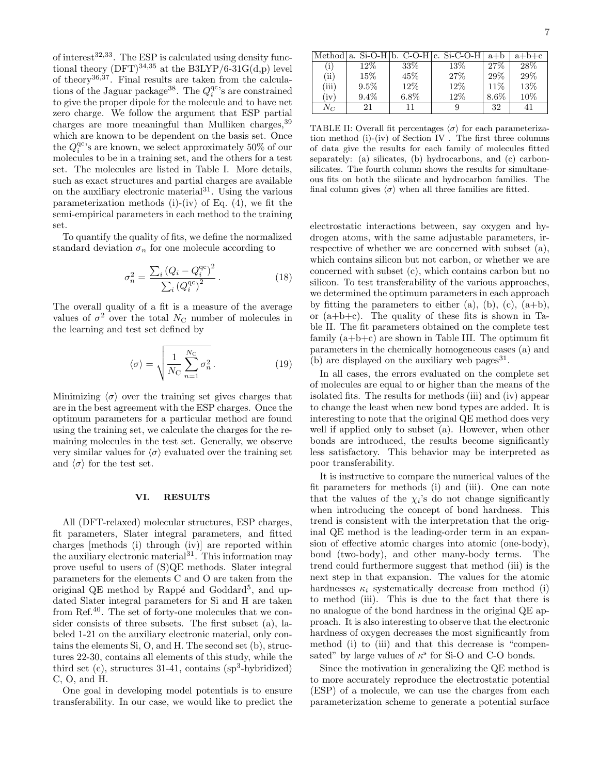of interest<sup>32,33</sup>. The ESP is calculated using density functional theory  $(DFT)^{34,35}$  at the B3LYP/6-31G(d,p) level of theory36,37 . Final results are taken from the calculations of the Jaguar package<sup>38</sup>. The  $Q_i^{qc}$ 's are constrained to give the proper dipole for the molecule and to have net zero charge. We follow the argument that ESP partial charges are more meaningful than Mulliken charges, <sup>39</sup> which are known to be dependent on the basis set. Once the  $Q_i^{\text{qc}}$ 's are known, we select approximately 50% of our molecules to be in a training set, and the others for a test set. The molecules are listed in Table I. More details, such as exact structures and partial charges are available on the auxiliary electronic material<sup>31</sup>. Using the various parameterization methods  $(i)$ - $(iv)$  of Eq.  $(4)$ , we fit the semi-empirical parameters in each method to the training set.

To quantify the quality of fits, we define the normalized standard deviation  $\sigma_n$  for one molecule according to

$$
\sigma_n^2 = \frac{\sum_i (Q_i - Q_i^{\rm qc})^2}{\sum_i (Q_i^{\rm qc})^2}.
$$
\n(18)

The overall quality of a fit is a measure of the average values of  $\sigma^2$  over the total  $N_{\rm C}$  number of molecules in the learning and test set defined by

$$
\langle \sigma \rangle = \sqrt{\frac{1}{N_{\rm C}} \sum_{n=1}^{N_{\rm C}} \sigma_n^2}.
$$
 (19)

Minimizing  $\langle \sigma \rangle$  over the training set gives charges that are in the best agreement with the ESP charges. Once the optimum parameters for a particular method are found using the training set, we calculate the charges for the remaining molecules in the test set. Generally, we observe very similar values for  $\langle \sigma \rangle$  evaluated over the training set and  $\langle \sigma \rangle$  for the test set.

### VI. RESULTS

All (DFT-relaxed) molecular structures, ESP charges, fit parameters, Slater integral parameters, and fitted charges [methods (i) through (iv)] are reported within the auxiliary electronic material<sup>31</sup>. This information may prove useful to users of (S)QE methods. Slater integral parameters for the elements C and O are taken from the original QE method by Rappé and Goddard<sup>5</sup>, and updated Slater integral parameters for Si and H are taken from Ref.<sup>40</sup>. The set of forty-one molecules that we consider consists of three subsets. The first subset (a), labeled 1-21 on the auxiliary electronic material, only contains the elements Si, O, and H. The second set (b), structures 22-30, contains all elements of this study, while the third set  $(c)$ , structures 31-41, contains  $(sp<sup>3</sup>-hybridized)$ C, O, and H.

One goal in developing model potentials is to ensure transferability. In our case, we would like to predict the

|       |         |         | Method a. Si-O-H b. C-O-H c. Si-C-O-H | $a+b$   | $a+b+c$ |
|-------|---------|---------|---------------------------------------|---------|---------|
| (i)   | $12\%$  | 33\%    | 13%                                   | 27%     | 28\%    |
| (ii)  | 15\%    | 45\%    | 27%                                   | 29%     | 29%     |
| (iii) | $9.5\%$ | 12%     | 12\%                                  | 11\%    | 13%     |
| (iv)  | $9.4\%$ | $6.8\%$ | 12%                                   | $8.6\%$ | 10%     |
| $N_C$ | 21      | 11      |                                       | 32      | 41      |

TABLE II: Overall fit percentages  $\langle \sigma \rangle$  for each parameterization method (i)-(iv) of Section IV . The first three columns of data give the results for each family of molecules fitted separately: (a) silicates, (b) hydrocarbons, and (c) carbonsilicates. The fourth column shows the results for simultaneous fits on both the silicate and hydrocarbon families. The final column gives  $\langle \sigma \rangle$  when all three families are fitted.

electrostatic interactions between, say oxygen and hydrogen atoms, with the same adjustable parameters, irrespective of whether we are concerned with subset (a), which contains silicon but not carbon, or whether we are concerned with subset (c), which contains carbon but no silicon. To test transferability of the various approaches, we determined the optimum parameters in each approach by fitting the parameters to either  $(a)$ ,  $(b)$ ,  $(c)$ ,  $(a+b)$ , or  $(a+b+c)$ . The quality of these fits is shown in Table II. The fit parameters obtained on the complete test family  $(a+b+c)$  are shown in Table III. The optimum fit parameters in the chemically homogeneous cases (a) and (b) are displayed on the auxiliary web pages $^{31}$ .

In all cases, the errors evaluated on the complete set of molecules are equal to or higher than the means of the isolated fits. The results for methods (iii) and (iv) appear to change the least when new bond types are added. It is interesting to note that the original QE method does very well if applied only to subset (a). However, when other bonds are introduced, the results become significantly less satisfactory. This behavior may be interpreted as poor transferability.

It is instructive to compare the numerical values of the fit parameters for methods (i) and (iii). One can note that the values of the  $\chi_i$ 's do not change significantly when introducing the concept of bond hardness. This trend is consistent with the interpretation that the original QE method is the leading-order term in an expansion of effective atomic charges into atomic (one-body), bond (two-body), and other many-body terms. The trend could furthermore suggest that method (iii) is the next step in that expansion. The values for the atomic hardnesses  $\kappa_i$  systematically decrease from method (i) to method (iii). This is due to the fact that there is no analogue of the bond hardness in the original QE approach. It is also interesting to observe that the electronic hardness of oxygen decreases the most significantly from method (i) to (iii) and that this decrease is "compensated" by large values of  $\kappa^s$  for Si-O and C-O bonds.

Since the motivation in generalizing the QE method is to more accurately reproduce the electrostatic potential (ESP) of a molecule, we can use the charges from each parameterization scheme to generate a potential surface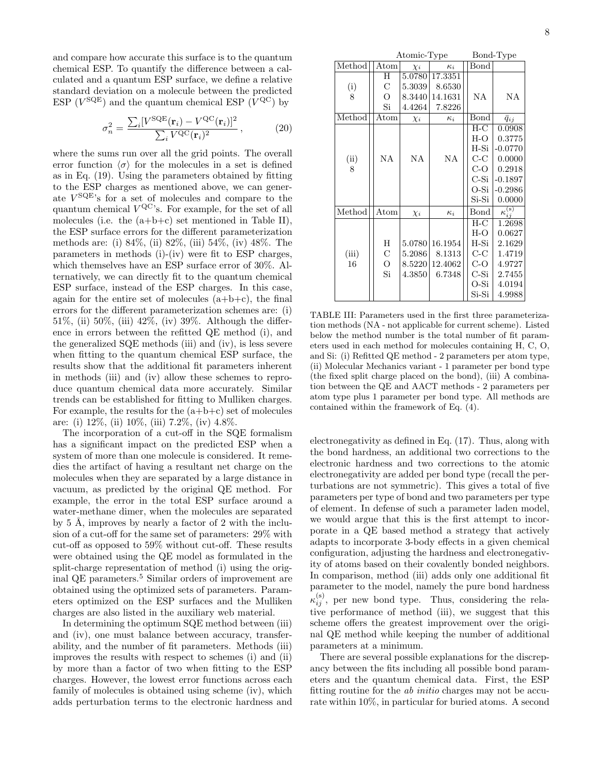and compare how accurate this surface is to the quantum chemical ESP. To quantify the difference between a calculated and a quantum ESP surface, we define a relative standard deviation on a molecule between the predicted ESP  $(V^{\text{SQE}})$  and the quantum chemical ESP  $(V^{\text{QC}})$  by

$$
\sigma_n^2 = \frac{\sum_i [V^{\text{SQE}}(\mathbf{r}_i) - V^{\text{QC}}(\mathbf{r}_i)]^2}{\sum_i V^{\text{QC}}(\mathbf{r}_i)^2},\tag{20}
$$

where the sums run over all the grid points. The overall error function  $\langle \sigma \rangle$  for the molecules in a set is defined as in Eq. (19). Using the parameters obtained by fitting to the ESP charges as mentioned above, we can generate V SQE's for a set of molecules and compare to the quantum chemical  $V^{\text{QC}}$ 's. For example, for the set of all molecules (i.e. the  $(a+b+c)$  set mentioned in Table II), the ESP surface errors for the different parameterization methods are: (i) 84%, (ii) 82%, (iii) 54%, (iv) 48%. The parameters in methods (i)-(iv) were fit to ESP charges, which themselves have an ESP surface error of 30%. Alternatively, we can directly fit to the quantum chemical ESP surface, instead of the ESP charges. In this case, again for the entire set of molecules  $(a+b+c)$ , the final errors for the different parameterization schemes are: (i) 51%, (ii) 50%, (iii) 42%, (iv) 39%. Although the difference in errors between the refitted QE method (i), and the generalized SQE methods (iii) and (iv), is less severe when fitting to the quantum chemical ESP surface, the results show that the additional fit parameters inherent in methods (iii) and (iv) allow these schemes to reproduce quantum chemical data more accurately. Similar trends can be established for fitting to Mulliken charges. For example, the results for the  $(a+b+c)$  set of molecules are: (i) 12%, (ii) 10%, (iii) 7.2%, (iv) 4.8%.

The incorporation of a cut-off in the SQE formalism has a significant impact on the predicted ESP when a system of more than one molecule is considered. It remedies the artifact of having a resultant net charge on the molecules when they are separated by a large distance in vacuum, as predicted by the original QE method. For example, the error in the total ESP surface around a water-methane dimer, when the molecules are separated by  $5 \text{ Å}$ , improves by nearly a factor of  $2 \text{ with the inclu-}$ sion of a cut-off for the same set of parameters: 29% with cut-off as opposed to 59% without cut-off. These results were obtained using the QE model as formulated in the split-charge representation of method (i) using the original QE parameters.<sup>5</sup> Similar orders of improvement are obtained using the optimized sets of parameters. Parameters optimized on the ESP surfaces and the Mulliken charges are also listed in the auxiliary web material.

In determining the optimum SQE method between (iii) and (iv), one must balance between accuracy, transferability, and the number of fit parameters. Methods (iii) improves the results with respect to schemes (i) and (ii) by more than a factor of two when fitting to the ESP charges. However, the lowest error functions across each family of molecules is obtained using scheme (iv), which adds perturbation terms to the electronic hardness and

|        | Atomic-Type    |          | Bond-Type  |        |                         |
|--------|----------------|----------|------------|--------|-------------------------|
| Method | Atom           | $\chi_i$ | $\kappa_i$ | Bond   |                         |
|        | Н              | 5.0780   | 17.3351    |        |                         |
| (i)    | $\mathcal{C}$  | 5.3039   | 8.6530     |        |                         |
| 8      | $\overline{O}$ | 8.3440   | 14.1631    | NA     | NA                      |
|        | Si             | 4.4264   | 7.8226     |        |                         |
| Method | $_{\rm Atom}$  | $\chi_i$ | $\kappa_i$ | Bond   | $\bar{q}_{ij}$          |
|        |                |          |            | $H-C$  | 0.0908                  |
|        |                |          |            | H-O    | 0.3775                  |
|        |                |          |            | $H-Si$ | $-0.0770$               |
| (ii)   | NA             | NA       | <b>NA</b>  | C-C    | 0.0000                  |
| 8      |                |          |            | C-O    | 0.2918                  |
|        |                |          |            | $C-Si$ | $-0.1897$               |
|        |                |          |            | O-Si   | $-0.2986$               |
|        |                |          |            | Si-Si  | 0.0000                  |
| Method | Atom           | $\chi_i$ | $\kappa_i$ | Bond   | $\kappa_{ii}^{\rm (s)}$ |
|        |                |          |            | $H-C$  | 1.2698                  |
|        |                |          |            | $H-O$  | 0.0627                  |
|        | H              | 5.0780   | 16.1954    | H-Si   | 2.1629                  |
| (iii)  | $\mathcal{C}$  | 5.2086   | 8.1313     | $C-C$  | 1.4719                  |
| 16     | $\overline{O}$ | 8.5220   | 12.4062    | C-O    | 4.9727                  |
|        | Si             | 4.3850   | 6.7348     | C-Si   | 2.7455                  |
|        |                |          |            | O-Si   | 4.0194                  |
|        |                |          |            | Si-Si  | 4.9988                  |

TABLE III: Parameters used in the first three parameterization methods (NA - not applicable for current scheme). Listed below the method number is the total number of fit parameters used in each method for molecules containing H, C, O, and Si: (i) Refitted QE method - 2 parameters per atom type, (ii) Molecular Mechanics variant - 1 parameter per bond type (the fixed split charge placed on the bond), (iii) A combination between the QE and AACT methods - 2 parameters per atom type plus 1 parameter per bond type. All methods are contained within the framework of Eq. (4).

electronegativity as defined in Eq. (17). Thus, along with the bond hardness, an additional two corrections to the electronic hardness and two corrections to the atomic electronegativity are added per bond type (recall the perturbations are not symmetric). This gives a total of five parameters per type of bond and two parameters per type of element. In defense of such a parameter laden model, we would argue that this is the first attempt to incorporate in a QE based method a strategy that actively adapts to incorporate 3-body effects in a given chemical configuration, adjusting the hardness and electronegativity of atoms based on their covalently bonded neighbors. In comparison, method (iii) adds only one additional fit parameter to the model, namely the pure bond hardness  $\kappa_{ij}^{(\rm s)}$ , per new bond type. Thus, considering the relative performance of method (iii), we suggest that this scheme offers the greatest improvement over the original QE method while keeping the number of additional parameters at a minimum.

There are several possible explanations for the discrepancy between the fits including all possible bond parameters and the quantum chemical data. First, the ESP fitting routine for the ab initio charges may not be accurate within 10%, in particular for buried atoms. A second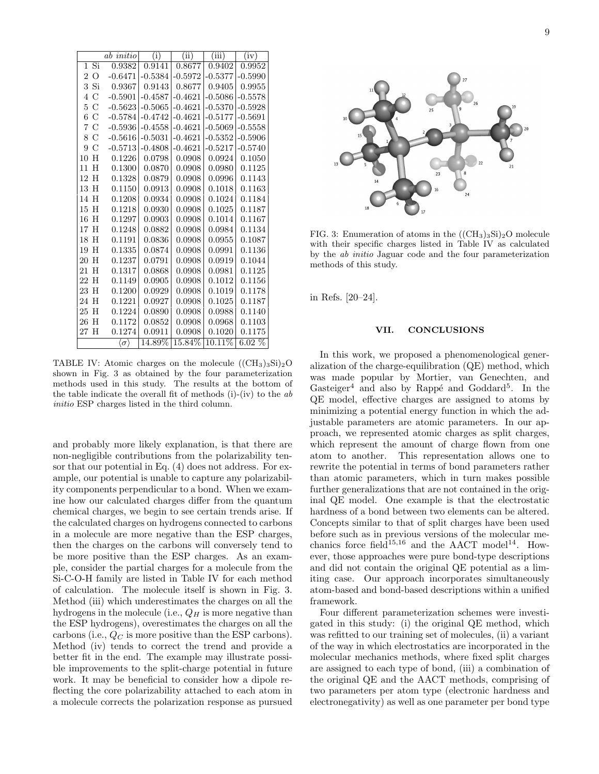|                                  | ab initio                | (i)       | (iii)     | (iii)     | (iv)      |
|----------------------------------|--------------------------|-----------|-----------|-----------|-----------|
| Si<br>1                          | 0.9382                   | 0.9141    | 0.8677    | 0.9402    | 0.9952    |
| $\overline{O}$<br>$\overline{2}$ | $-0.6471$                | $-0.5384$ | $-0.5972$ | $-0.5377$ | $-0.5990$ |
| 3<br>Si                          | 0.9367                   | 0.9143    | 0.8677    | 0.9405    | 0.9955    |
| $\mathcal{C}$<br>4               | $-0.5901$                | $-0.4587$ | $-0.4621$ | $-0.5086$ | $-0.5578$ |
| $\overline{5}$<br>$\mathcal{C}$  | $-0.5623$                | $-0.5065$ | $-0.4621$ | $-0.5370$ | $-0.5928$ |
| 6<br>$\mathcal{C}$               | $-0.5784$                | $-0.4742$ | $-0.4621$ | $-0.5177$ | $-0.5691$ |
| 7<br>C                           | $-0.5936$                | $-0.4558$ | $-0.4621$ | $-0.5069$ | $-0.5558$ |
| 8<br>С                           | $-0.5616$                | $-0.5031$ | $-0.4621$ | $-0.5352$ | $-0.5906$ |
| 9<br>C                           | $-0.5713$                | $-0.4808$ | $-0.4621$ | $-0.5217$ | $-0.5740$ |
| H<br>10                          | 0.1226                   | 0.0798    | 0.0908    | 0.0924    | 0.1050    |
| H<br>11                          | 0.1300                   | 0.0870    | 0.0908    | 0.0980    | 0.1125    |
| H<br>12                          | 0.1328                   | 0.0879    | 0.0908    | 0.0996    | 0.1143    |
| H<br>13                          | 0.1150                   | 0.0913    | 0.0908    | 0.1018    | 0.1163    |
| H<br>14                          | 0.1208                   | 0.0934    | 0.0908    | 0.1024    | 0.1184    |
| H<br>15                          | 0.1218                   | 0.0930    | 0.0908    | 0.1025    | 0.1187    |
| H<br>16                          | 0.1297                   | 0.0903    | 0.0908    | 0.1014    | 0.1167    |
| H<br>17                          | 0.1248                   | 0.0882    | 0.0908    | 0.0984    | 0.1134    |
| H<br>18                          | 0.1191                   | 0.0836    | 0.0908    | 0.0955    | 0.1087    |
| H<br>19                          | 0.1335                   | 0.0874    | 0.0908    | 0.0991    | 0.1136    |
| H<br>20                          | 0.1237                   | 0.0791    | 0.0908    | 0.0919    | 0.1044    |
| H<br>21                          | 0.1317                   | 0.0868    | 0.0908    | 0.0981    | 0.1125    |
| H<br>22                          | 0.1149                   | 0.0905    | 0.0908    | 0.1012    | 0.1156    |
| H<br>23                          | 0.1200                   | 0.0929    | 0.0908    | 0.1019    | 0.1178    |
| H<br>24                          | 0.1221                   | 0.0927    | 0.0908    | 0.1025    | 0.1187    |
| H<br>25                          | 0.1224                   | 0.0890    | 0.0908    | 0.0988    | 0.1140    |
| H<br>26                          | 0.1172                   | 0.0852    | 0.0908    | 0.0968    | 0.1103    |
| H<br>27                          | 0.1274                   | 0.0911    | 0.0908    | 0.1020    | 0.1175    |
|                                  | $\langle \sigma \rangle$ | 14.89%    | 15.84%    | 10.11%    | $6.02\%$  |

TABLE IV: Atomic charges on the molecule  $((CH<sub>3</sub>)<sub>3</sub>Si)<sub>2</sub>O$ shown in Fig. 3 as obtained by the four parameterization methods used in this study. The results at the bottom of the table indicate the overall fit of methods  $(i)$ - $(iv)$  to the ab initio ESP charges listed in the third column.

and probably more likely explanation, is that there are non-negligible contributions from the polarizability tensor that our potential in Eq. (4) does not address. For example, our potential is unable to capture any polarizability components perpendicular to a bond. When we examine how our calculated charges differ from the quantum chemical charges, we begin to see certain trends arise. If the calculated charges on hydrogens connected to carbons in a molecule are more negative than the ESP charges, then the charges on the carbons will conversely tend to be more positive than the ESP charges. As an example, consider the partial charges for a molecule from the Si-C-O-H family are listed in Table IV for each method of calculation. The molecule itself is shown in Fig. 3. Method (iii) which underestimates the charges on all the hydrogens in the molecule (i.e.,  $Q_H$  is more negative than the ESP hydrogens), overestimates the charges on all the carbons (i.e.,  $Q_C$  is more positive than the ESP carbons). Method (iv) tends to correct the trend and provide a better fit in the end. The example may illustrate possible improvements to the split-charge potential in future work. It may be beneficial to consider how a dipole reflecting the core polarizability attached to each atom in a molecule corrects the polarization response as pursued



FIG. 3: Enumeration of atoms in the  $((CH<sub>3</sub>)<sub>3</sub>Si)<sub>2</sub>O$  molecule with their specific charges listed in Table IV as calculated by the ab initio Jaguar code and the four parameterization methods of this study.

in Refs. [20–24].

### VII. CONCLUSIONS

In this work, we proposed a phenomenological generalization of the charge-equilibration (QE) method, which was made popular by Mortier, van Genechten, and Gasteiger<sup>4</sup> and also by Rappé and Goddard<sup>5</sup>. In the QE model, effective charges are assigned to atoms by minimizing a potential energy function in which the adjustable parameters are atomic parameters. In our approach, we represented atomic charges as split charges, which represent the amount of charge flown from one atom to another. This representation allows one to rewrite the potential in terms of bond parameters rather than atomic parameters, which in turn makes possible further generalizations that are not contained in the original QE model. One example is that the electrostatic hardness of a bond between two elements can be altered. Concepts similar to that of split charges have been used before such as in previous versions of the molecular mechanics force field<sup>15,16</sup> and the AACT model<sup>14</sup>. However, those approaches were pure bond-type descriptions and did not contain the original QE potential as a limiting case. Our approach incorporates simultaneously atom-based and bond-based descriptions within a unified framework.

Four different parameterization schemes were investigated in this study: (i) the original QE method, which was refitted to our training set of molecules, (ii) a variant of the way in which electrostatics are incorporated in the molecular mechanics methods, where fixed split charges are assigned to each type of bond, (iii) a combination of the original QE and the AACT methods, comprising of two parameters per atom type (electronic hardness and electronegativity) as well as one parameter per bond type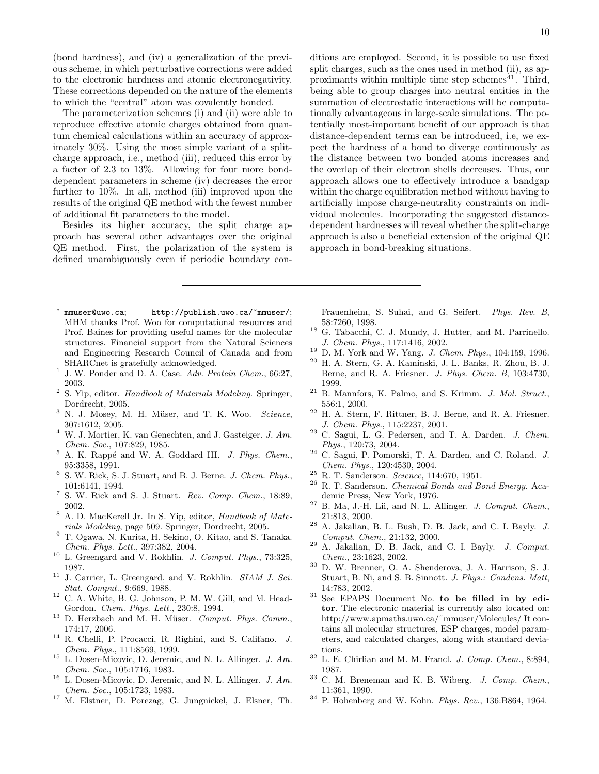(bond hardness), and (iv) a generalization of the previous scheme, in which perturbative corrections were added to the electronic hardness and atomic electronegativity. These corrections depended on the nature of the elements to which the "central" atom was covalently bonded.

The parameterization schemes (i) and (ii) were able to reproduce effective atomic charges obtained from quantum chemical calculations within an accuracy of approximately 30%. Using the most simple variant of a splitcharge approach, i.e., method (iii), reduced this error by a factor of 2.3 to 13%. Allowing for four more bonddependent parameters in scheme (iv) decreases the error further to 10%. In all, method (iii) improved upon the results of the original QE method with the fewest number of additional fit parameters to the model.

Besides its higher accuracy, the split charge approach has several other advantages over the original QE method. First, the polarization of the system is defined unambiguously even if periodic boundary con-

- ∗ mmuser@uwo.ca; http://publish.uwo.ca/~mmuser/; MHM thanks Prof. Woo for computational resources and Prof. Baines for providing useful names for the molecular structures. Financial support from the Natural Sciences and Engineering Research Council of Canada and from SHARCnet is gratefully acknowledged.
- 1 J. W. Ponder and D. A. Case. Adv. Protein Chem., 66:27, 2003.
- <sup>2</sup> S. Yip, editor. Handbook of Materials Modeling. Springer, Dordrecht, 2005.
- $3$  N. J. Mosey, M. H. Müser, and T. K. Woo. Science, 307:1612, 2005.
- <sup>4</sup> W. J. Mortier, K. van Genechten, and J. Gasteiger. J. Am. Chem. Soc., 107:829, 1985.
- $5$  A. K. Rappé and W. A. Goddard III. J. Phys. Chem., 95:3358, 1991.
- $^6$  S. W. Rick, S. J. Stuart, and B. J. Berne.  $J.$  Chem. Phys., 101:6141, 1994.
- <sup>7</sup> S. W. Rick and S. J. Stuart. Rev. Comp. Chem., 18:89, 2002.
- <sup>8</sup> A. D. MacKerell Jr. In S. Yip, editor, Handbook of Materials Modeling, page 509. Springer, Dordrecht, 2005.
- <sup>9</sup> T. Ogawa, N. Kurita, H. Sekino, O. Kitao, and S. Tanaka. Chem. Phys. Lett., 397:382, 2004.
- <sup>10</sup> L. Greengard and V. Rokhlin. J. Comput. Phys., 73:325, 1987.
- $11$  J. Carrier, L. Greengard, and V. Rokhlin. *SIAM J. Sci.* Stat. Comput., 9:669, 1988.
- <sup>12</sup> C. A. White, B. G. Johnson, P. M. W. Gill, and M. Head-Gordon. Chem. Phys. Lett., 230:8, 1994.
- $13$  D. Herzbach and M. H. Müser. *Comput. Phys. Comm.*, 174:17, 2006.
- <sup>14</sup> R. Chelli, P. Procacci, R. Righini, and S. Califano. J. Chem. Phys., 111:8569, 1999.
- <sup>15</sup> L. Dosen-Micovic, D. Jeremic, and N. L. Allinger. J. Am. Chem. Soc., 105:1716, 1983.
- $16$  L. Dosen-Micovic, D. Jeremic, and N. L. Allinger. J. Am. Chem. Soc., 105:1723, 1983.
- <sup>17</sup> M. Elstner, D. Porezag, G. Jungnickel, J. Elsner, Th.

ditions are employed. Second, it is possible to use fixed split charges, such as the ones used in method (ii), as approximants within multiple time step schemes<sup> $41$ </sup>. Third, being able to group charges into neutral entities in the summation of electrostatic interactions will be computationally advantageous in large-scale simulations. The potentially most-important benefit of our approach is that distance-dependent terms can be introduced, i.e, we expect the hardness of a bond to diverge continuously as the distance between two bonded atoms increases and the overlap of their electron shells decreases. Thus, our approach allows one to effectively introduce a bandgap within the charge equilibration method without having to artificially impose charge-neutrality constraints on individual molecules. Incorporating the suggested distancedependent hardnesses will reveal whether the split-charge approach is also a beneficial extension of the original QE approach in bond-breaking situations.

Frauenheim, S. Suhai, and G. Seifert. Phys. Rev. B, 58:7260, 1998.

- <sup>18</sup> G. Tabacchi, C. J. Mundy, J. Hutter, and M. Parrinello. J. Chem. Phys., 117:1416, 2002.
- <sup>19</sup> D. M. York and W. Yang. J. Chem. Phys., 104:159, 1996.
- <sup>20</sup> H. A. Stern, G. A. Kaminski, J. L. Banks, R. Zhou, B. J. Berne, and R. A. Friesner. J. Phys. Chem. B, 103:4730, 1999.
- $21$  B. Mannfors, K. Palmo, and S. Krimm. J. Mol. Struct., 556:1, 2000.
- <sup>22</sup> H. A. Stern, F. Rittner, B. J. Berne, and R. A. Friesner. J. Chem. Phys., 115:2237, 2001.
- <sup>23</sup> C. Sagui, L. G. Pedersen, and T. A. Darden. J. Chem. Phys., 120:73, 2004.
- <sup>24</sup> C. Sagui, P. Pomorski, T. A. Darden, and C. Roland. J. Chem. Phys., 120:4530, 2004.
- <sup>25</sup> R. T. Sanderson. Science, 114:670, 1951.
- $26$  R. T. Sanderson. *Chemical Bonds and Bond Energy*. Academic Press, New York, 1976.
- $27$  B. Ma, J.-H. Lii, and N. L. Allinger. *J. Comput. Chem.*, 21:813, 2000.
- <sup>28</sup> A. Jakalian, B. L. Bush, D. B. Jack, and C. I. Bayly. J. Comput. Chem., 21:132, 2000.
- $29$  A. Jakalian, D. B. Jack, and C. I. Bayly. J. Comput. Chem., 23:1623, 2002.
- <sup>30</sup> D. W. Brenner, O. A. Shenderova, J. A. Harrison, S. J. Stuart, B. Ni, and S. B. Sinnott. J. Phys.: Condens. Matt, 14:783, 2002.
- <sup>31</sup> See EPAPS Document No. to be filled in by editor. The electronic material is currently also located on: http://www.apmaths.uwo.ca/˜mmuser/Molecules/ It contains all molecular structures, ESP charges, model parameters, and calculated charges, along with standard deviations.
- $^{32}$  L. E. Chirlian and M. M. Francl.  $J. \ Comp. \ Chem., \ 8:894,$ 1987.
- $33$  C. M. Breneman and K. B. Wiberg. J. Comp. Chem., 11:361, 1990.
- $34$  P. Hohenberg and W. Kohn. Phys. Rev., 136:B864, 1964.